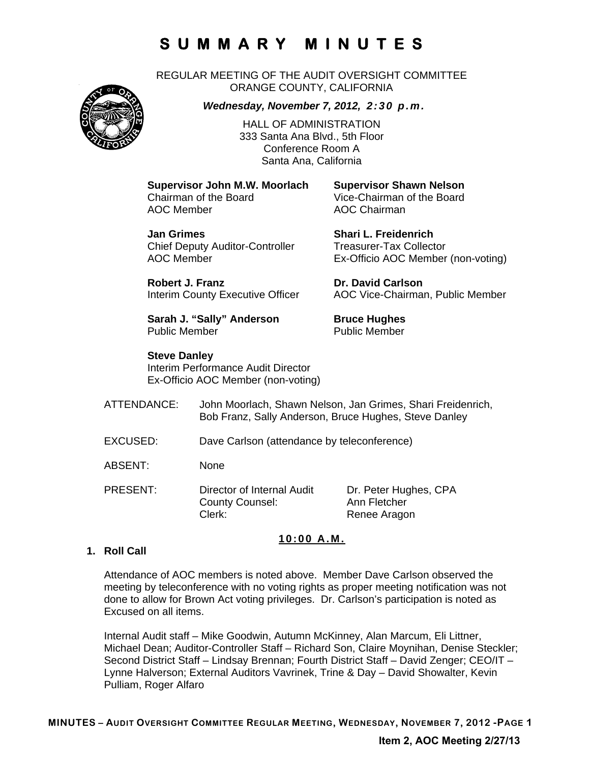REGULAR MEETING OF THE AUDIT OVERSIGHT COMMITTEE ORANGE COUNTY, CALIFORNIA



*Wednesday, November 7, 2012, 2:30 p.m.*

HALL OF ADMINISTRATION 333 Santa Ana Blvd., 5th Floor Conference Room A Santa Ana, California

**Supervisor John M.W. Moorlach Supervisor Shawn Nelson**  AOC Member **AOC Chairman** 

Vice-Chairman of the Board

**Jan Grimes Shari L. Freidenrich**  Chief Deputy Auditor-Controller Treasurer-Tax Collector

AOC Member Ex-Officio AOC Member (non-voting) **Robert J. Franz Dr. David Carlson** 

Interim County Executive Officer AOC Vice-Chairman, Public Member

**Sarah J. "Sally" Anderson Bruce Hughes** Public Member **Public Member** 

**Steve Danley**  Interim Performance Audit Director Ex-Officio AOC Member (non-voting)

ATTENDANCE: John Moorlach, Shawn Nelson, Jan Grimes, Shari Freidenrich, Bob Franz, Sally Anderson, Bruce Hughes, Steve Danley

- EXCUSED: Dave Carlson (attendance by teleconference)
- ABSENT: None
- PRESENT: Director of Internal Audit Dr. Peter Hughes, CPA County Counsel: Ann Fletcher Clerk: Renee Aragon

### **10:00 A.M.**

### **1. Roll Call**

Attendance of AOC members is noted above. Member Dave Carlson observed the meeting by teleconference with no voting rights as proper meeting notification was not done to allow for Brown Act voting privileges. Dr. Carlson's participation is noted as Excused on all items.

Internal Audit staff – Mike Goodwin, Autumn McKinney, Alan Marcum, Eli Littner, Michael Dean; Auditor-Controller Staff – Richard Son, Claire Moynihan, Denise Steckler; Second District Staff – Lindsay Brennan; Fourth District Staff – David Zenger; CEO/IT – Lynne Halverson; External Auditors Vavrinek, Trine & Day – David Showalter, Kevin Pulliam, Roger Alfaro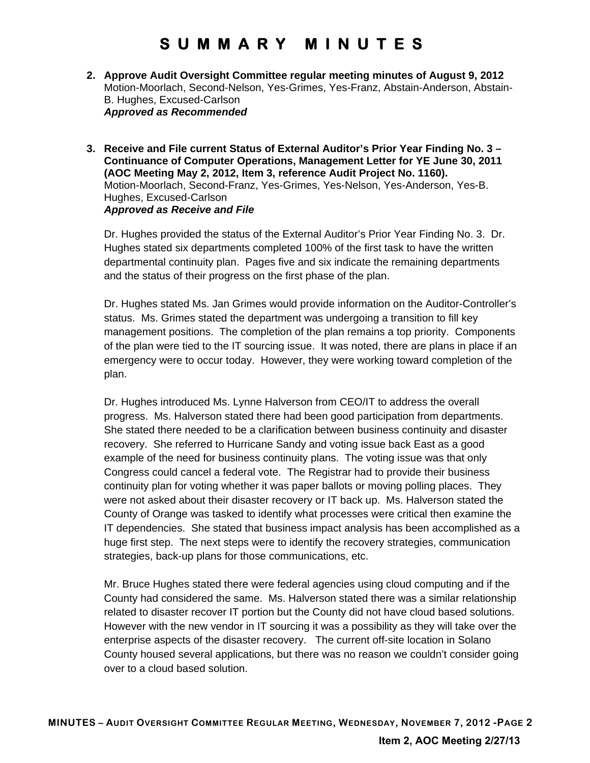- **2. Approve Audit Oversight Committee regular meeting minutes of August 9, 2012**  Motion-Moorlach, Second-Nelson, Yes-Grimes, Yes-Franz, Abstain-Anderson, Abstain-B. Hughes, Excused-Carlson *Approved as Recommended*
- **3. Receive and File current Status of External Auditor's Prior Year Finding No. 3 Continuance of Computer Operations, Management Letter for YE June 30, 2011 (AOC Meeting May 2, 2012, Item 3, reference Audit Project No. 1160).**  Motion-Moorlach, Second-Franz, Yes-Grimes, Yes-Nelson, Yes-Anderson, Yes-B. Hughes, Excused-Carlson *Approved as Receive and File*

Dr. Hughes provided the status of the External Auditor's Prior Year Finding No. 3. Dr. Hughes stated six departments completed 100% of the first task to have the written departmental continuity plan. Pages five and six indicate the remaining departments and the status of their progress on the first phase of the plan.

Dr. Hughes stated Ms. Jan Grimes would provide information on the Auditor-Controller's status. Ms. Grimes stated the department was undergoing a transition to fill key management positions. The completion of the plan remains a top priority. Components of the plan were tied to the IT sourcing issue. It was noted, there are plans in place if an emergency were to occur today. However, they were working toward completion of the plan.

Dr. Hughes introduced Ms. Lynne Halverson from CEO/IT to address the overall progress. Ms. Halverson stated there had been good participation from departments. She stated there needed to be a clarification between business continuity and disaster recovery. She referred to Hurricane Sandy and voting issue back East as a good example of the need for business continuity plans. The voting issue was that only Congress could cancel a federal vote. The Registrar had to provide their business continuity plan for voting whether it was paper ballots or moving polling places. They were not asked about their disaster recovery or IT back up. Ms. Halverson stated the County of Orange was tasked to identify what processes were critical then examine the IT dependencies. She stated that business impact analysis has been accomplished as a huge first step. The next steps were to identify the recovery strategies, communication strategies, back-up plans for those communications, etc.

Mr. Bruce Hughes stated there were federal agencies using cloud computing and if the County had considered the same. Ms. Halverson stated there was a similar relationship related to disaster recover IT portion but the County did not have cloud based solutions. However with the new vendor in IT sourcing it was a possibility as they will take over the enterprise aspects of the disaster recovery. The current off-site location in Solano County housed several applications, but there was no reason we couldn't consider going over to a cloud based solution.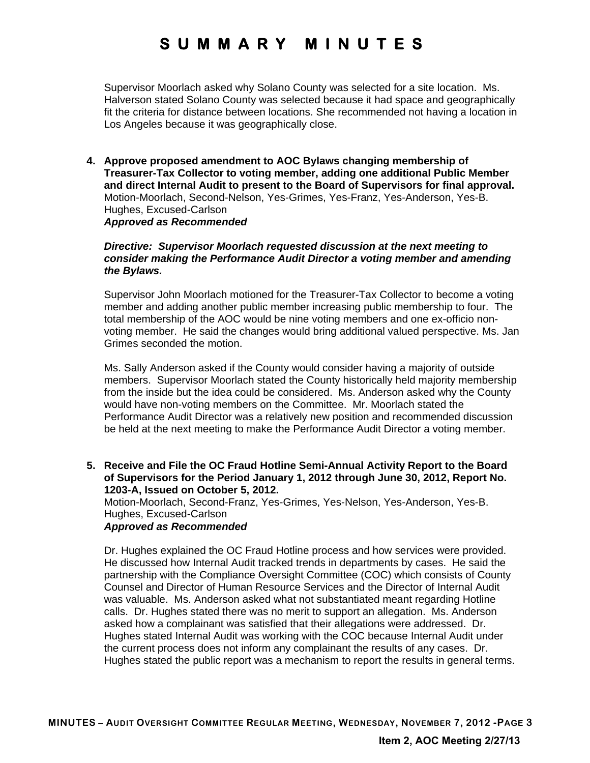Supervisor Moorlach asked why Solano County was selected for a site location. Ms. Halverson stated Solano County was selected because it had space and geographically fit the criteria for distance between locations. She recommended not having a location in Los Angeles because it was geographically close.

**4. Approve proposed amendment to AOC Bylaws changing membership of Treasurer-Tax Collector to voting member, adding one additional Public Member and direct Internal Audit to present to the Board of Supervisors for final approval.**  Motion-Moorlach, Second-Nelson, Yes-Grimes, Yes-Franz, Yes-Anderson, Yes-B. Hughes, Excused-Carlson *Approved as Recommended* 

#### *Directive: Supervisor Moorlach requested discussion at the next meeting to consider making the Performance Audit Director a voting member and amending the Bylaws.*

Supervisor John Moorlach motioned for the Treasurer-Tax Collector to become a voting member and adding another public member increasing public membership to four. The total membership of the AOC would be nine voting members and one ex-officio nonvoting member. He said the changes would bring additional valued perspective. Ms. Jan Grimes seconded the motion.

Ms. Sally Anderson asked if the County would consider having a majority of outside members. Supervisor Moorlach stated the County historically held majority membership from the inside but the idea could be considered. Ms. Anderson asked why the County would have non-voting members on the Committee. Mr. Moorlach stated the Performance Audit Director was a relatively new position and recommended discussion be held at the next meeting to make the Performance Audit Director a voting member.

**5. Receive and File the OC Fraud Hotline Semi-Annual Activity Report to the Board of Supervisors for the Period January 1, 2012 through June 30, 2012, Report No. 1203-A, Issued on October 5, 2012.** 

Motion-Moorlach, Second-Franz, Yes-Grimes, Yes-Nelson, Yes-Anderson, Yes-B. Hughes, Excused-Carlson

#### *Approved as Recommended*

Dr. Hughes explained the OC Fraud Hotline process and how services were provided. He discussed how Internal Audit tracked trends in departments by cases. He said the partnership with the Compliance Oversight Committee (COC) which consists of County Counsel and Director of Human Resource Services and the Director of Internal Audit was valuable. Ms. Anderson asked what not substantiated meant regarding Hotline calls. Dr. Hughes stated there was no merit to support an allegation. Ms. Anderson asked how a complainant was satisfied that their allegations were addressed. Dr. Hughes stated Internal Audit was working with the COC because Internal Audit under the current process does not inform any complainant the results of any cases. Dr. Hughes stated the public report was a mechanism to report the results in general terms.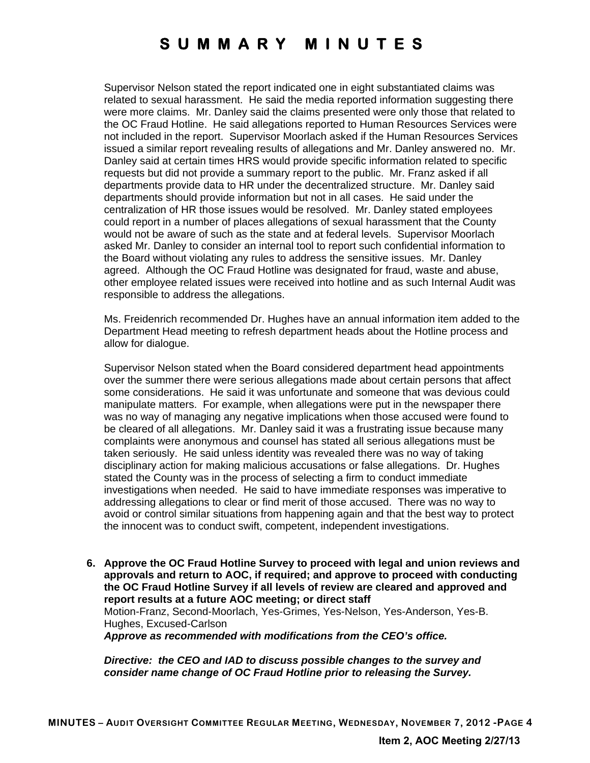Supervisor Nelson stated the report indicated one in eight substantiated claims was related to sexual harassment. He said the media reported information suggesting there were more claims. Mr. Danley said the claims presented were only those that related to the OC Fraud Hotline. He said allegations reported to Human Resources Services were not included in the report. Supervisor Moorlach asked if the Human Resources Services issued a similar report revealing results of allegations and Mr. Danley answered no. Mr. Danley said at certain times HRS would provide specific information related to specific requests but did not provide a summary report to the public. Mr. Franz asked if all departments provide data to HR under the decentralized structure. Mr. Danley said departments should provide information but not in all cases. He said under the centralization of HR those issues would be resolved. Mr. Danley stated employees could report in a number of places allegations of sexual harassment that the County would not be aware of such as the state and at federal levels. Supervisor Moorlach asked Mr. Danley to consider an internal tool to report such confidential information to the Board without violating any rules to address the sensitive issues. Mr. Danley agreed. Although the OC Fraud Hotline was designated for fraud, waste and abuse, other employee related issues were received into hotline and as such Internal Audit was responsible to address the allegations.

Ms. Freidenrich recommended Dr. Hughes have an annual information item added to the Department Head meeting to refresh department heads about the Hotline process and allow for dialogue.

Supervisor Nelson stated when the Board considered department head appointments over the summer there were serious allegations made about certain persons that affect some considerations. He said it was unfortunate and someone that was devious could manipulate matters. For example, when allegations were put in the newspaper there was no way of managing any negative implications when those accused were found to be cleared of all allegations. Mr. Danley said it was a frustrating issue because many complaints were anonymous and counsel has stated all serious allegations must be taken seriously. He said unless identity was revealed there was no way of taking disciplinary action for making malicious accusations or false allegations. Dr. Hughes stated the County was in the process of selecting a firm to conduct immediate investigations when needed. He said to have immediate responses was imperative to addressing allegations to clear or find merit of those accused. There was no way to avoid or control similar situations from happening again and that the best way to protect the innocent was to conduct swift, competent, independent investigations.

**6. Approve the OC Fraud Hotline Survey to proceed with legal and union reviews and approvals and return to AOC, if required; and approve to proceed with conducting the OC Fraud Hotline Survey if all levels of review are cleared and approved and report results at a future AOC meeting; or direct staff**  Motion-Franz, Second-Moorlach, Yes-Grimes, Yes-Nelson, Yes-Anderson, Yes-B. Hughes, Excused-Carlson

*Approve as recommended with modifications from the CEO's office.* 

*Directive: the CEO and IAD to discuss possible changes to the survey and consider name change of OC Fraud Hotline prior to releasing the Survey.*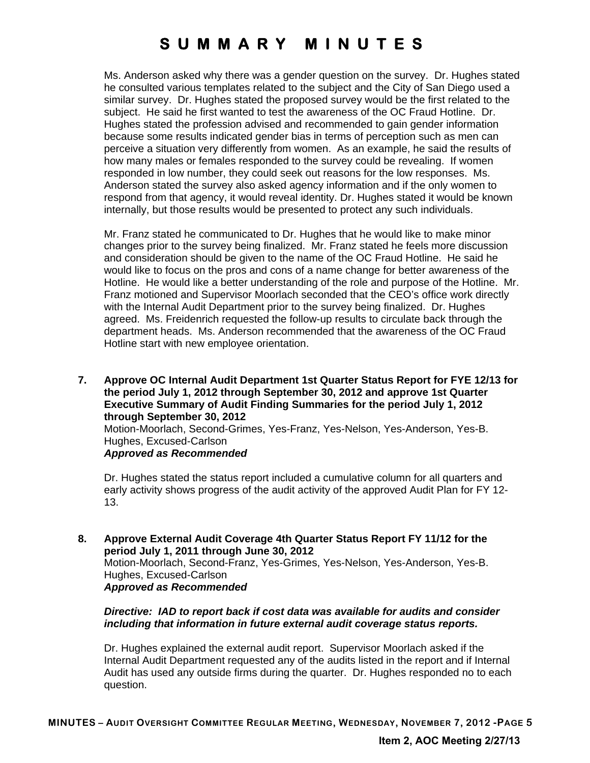Ms. Anderson asked why there was a gender question on the survey. Dr. Hughes stated he consulted various templates related to the subject and the City of San Diego used a similar survey. Dr. Hughes stated the proposed survey would be the first related to the subject. He said he first wanted to test the awareness of the OC Fraud Hotline. Dr. Hughes stated the profession advised and recommended to gain gender information because some results indicated gender bias in terms of perception such as men can perceive a situation very differently from women. As an example, he said the results of how many males or females responded to the survey could be revealing. If women responded in low number, they could seek out reasons for the low responses. Ms. Anderson stated the survey also asked agency information and if the only women to respond from that agency, it would reveal identity. Dr. Hughes stated it would be known internally, but those results would be presented to protect any such individuals.

Mr. Franz stated he communicated to Dr. Hughes that he would like to make minor changes prior to the survey being finalized. Mr. Franz stated he feels more discussion and consideration should be given to the name of the OC Fraud Hotline. He said he would like to focus on the pros and cons of a name change for better awareness of the Hotline. He would like a better understanding of the role and purpose of the Hotline. Mr. Franz motioned and Supervisor Moorlach seconded that the CEO's office work directly with the Internal Audit Department prior to the survey being finalized. Dr. Hughes agreed. Ms. Freidenrich requested the follow-up results to circulate back through the department heads. Ms. Anderson recommended that the awareness of the OC Fraud Hotline start with new employee orientation.

**7. Approve OC Internal Audit Department 1st Quarter Status Report for FYE 12/13 for the period July 1, 2012 through September 30, 2012 and approve 1st Quarter Executive Summary of Audit Finding Summaries for the period July 1, 2012 through September 30, 2012** 

Motion-Moorlach, Second-Grimes, Yes-Franz, Yes-Nelson, Yes-Anderson, Yes-B. Hughes, Excused-Carlson

#### *Approved as Recommended*

Dr. Hughes stated the status report included a cumulative column for all quarters and early activity shows progress of the audit activity of the approved Audit Plan for FY 12- 13.

**8. Approve External Audit Coverage 4th Quarter Status Report FY 11/12 for the period July 1, 2011 through June 30, 2012**  Motion-Moorlach, Second-Franz, Yes-Grimes, Yes-Nelson, Yes-Anderson, Yes-B. Hughes, Excused-Carlson *Approved as Recommended* 

#### *Directive: IAD to report back if cost data was available for audits and consider including that information in future external audit coverage status reports.*

Dr. Hughes explained the external audit report. Supervisor Moorlach asked if the Internal Audit Department requested any of the audits listed in the report and if Internal Audit has used any outside firms during the quarter. Dr. Hughes responded no to each question.